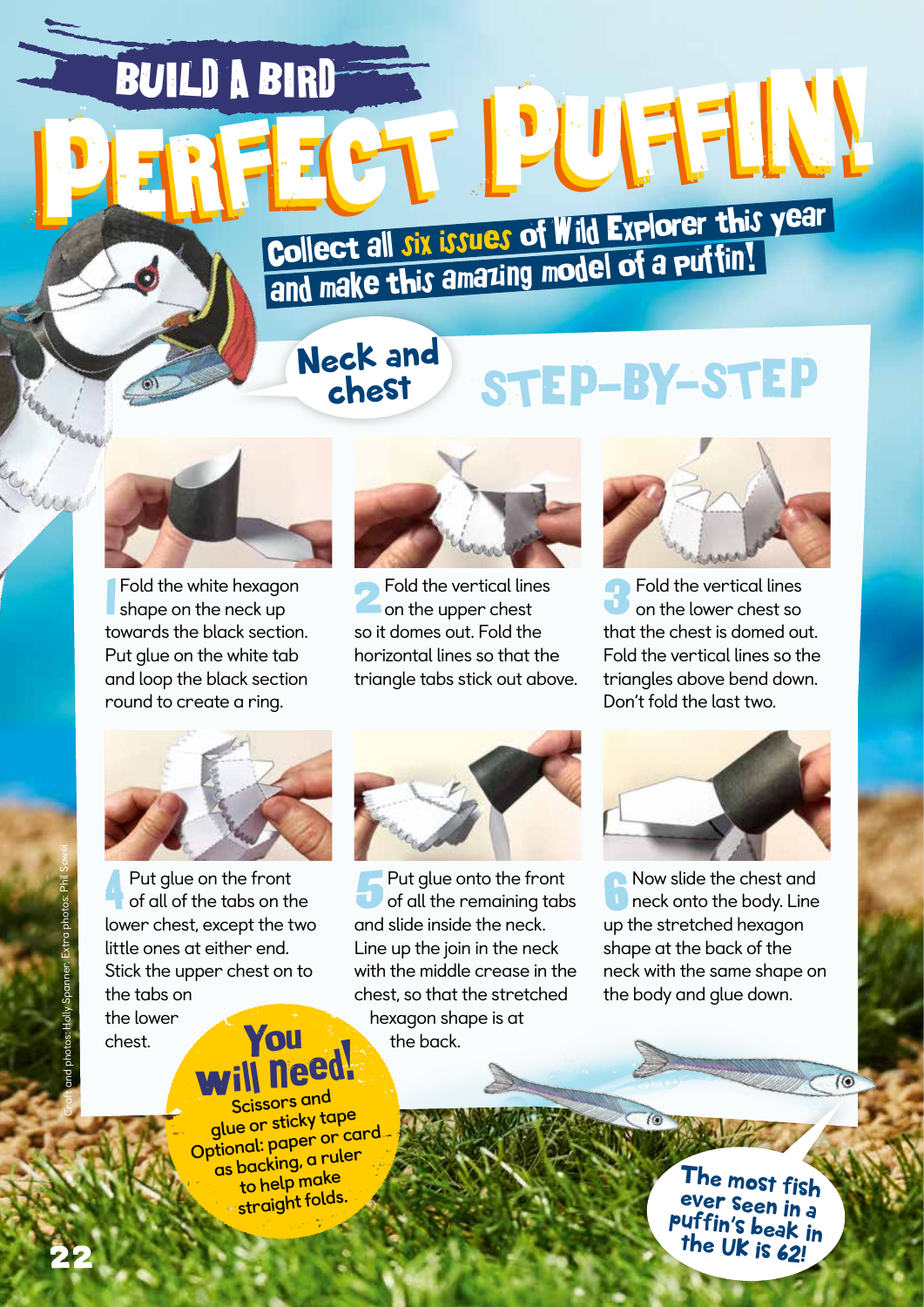**PERFECT PUFFIN!** Collect all six issues of Wild Explorer this year Collect all Jix bands of a collect all Jix bands of a puttin!

## Neck and chest

## STEP-BY-STEP



BUILD A BIRD

1 Fold the white hexagon shape on the neck up towards the black section. Put glue on the white tab and loop the black section round to create a ring.



Fold the vertical lines on the upper chest so it domes out. Fold the horizontal lines so that the triangle tabs stick out above.



Fold the vertical lines on the lower chest so that the chest is domed out. Fold the vertical lines so the triangles above bend down. Don't fold the last two.



4 Put glue on the front of all of the tabs on the lower chest, except the two little ones at either end. Stick the upper chest on to the tabs on

the lower chest.



**F** Put glue onto the front of all the remaining tabs and slide inside the neck. Line up the join in the neck with the middle crease in the chest, so that the stretched hexagon shape is at the back.



Now slide the chest and neck onto the body. Line up the stretched hexagon shape at the back of the neck with the same shape on the body and glue down.

**You** need! **Scissors and** 

**glue or sticky tape Optional: paper or card as backing, a ruler to help make straight folds.**

The most fish ever seen in a puffin's beak in the UK is 62!

 $\overline{(\odot)}$ 

Craft and photos: Holly Spanner. Extra photos: Phil Sowel

22